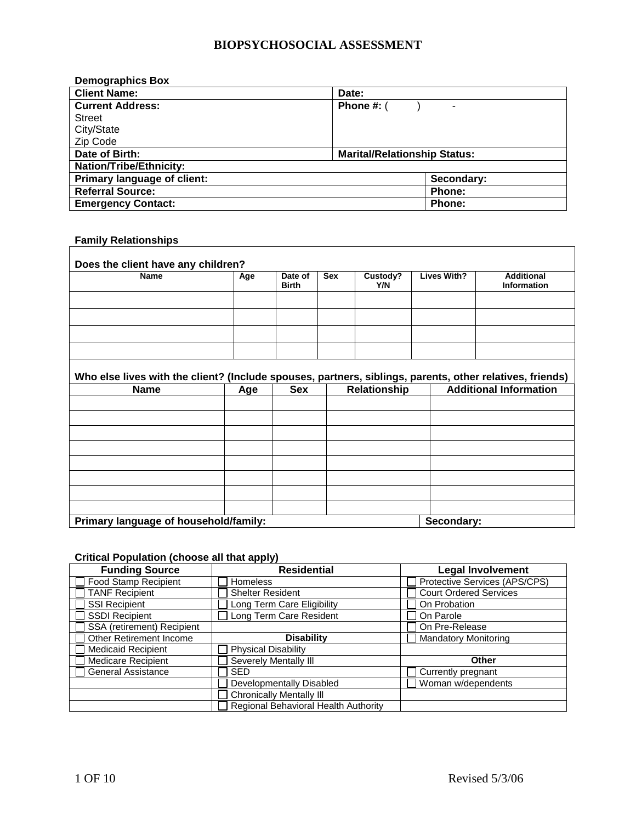| <b>Demographics Box</b>        |                                              |
|--------------------------------|----------------------------------------------|
| <b>Client Name:</b>            | Date:                                        |
| <b>Current Address:</b>        | Phone $\#$ : $($<br>$\overline{\phantom{a}}$ |
| <b>Street</b>                  |                                              |
| City/State                     |                                              |
| Zip Code                       |                                              |
| Date of Birth:                 | <b>Marital/Relationship Status:</b>          |
| <b>Nation/Tribe/Ethnicity:</b> |                                              |
| Primary language of client:    | Secondary:                                   |
| <b>Referral Source:</b>        | Phone:                                       |
| <b>Emergency Contact:</b>      | <b>Phone:</b>                                |

## **Family Relationships**

 $\overline{1}$ 

| <b>Name</b>                                                                                              | Age | Date of<br><b>Birth</b> | <b>Sex</b> | Custody?<br>Y/N     | <b>Lives With?</b> |  | <b>Additional</b><br>Information |  |
|----------------------------------------------------------------------------------------------------------|-----|-------------------------|------------|---------------------|--------------------|--|----------------------------------|--|
|                                                                                                          |     |                         |            |                     |                    |  |                                  |  |
|                                                                                                          |     |                         |            |                     |                    |  |                                  |  |
|                                                                                                          |     |                         |            |                     |                    |  |                                  |  |
|                                                                                                          |     |                         |            |                     |                    |  |                                  |  |
|                                                                                                          |     |                         |            |                     |                    |  |                                  |  |
|                                                                                                          |     |                         |            |                     |                    |  |                                  |  |
| <b>Name</b>                                                                                              | Age | <b>Sex</b>              |            | <b>Relationship</b> |                    |  |                                  |  |
|                                                                                                          |     |                         |            |                     |                    |  |                                  |  |
|                                                                                                          |     |                         |            |                     |                    |  |                                  |  |
|                                                                                                          |     |                         |            |                     |                    |  |                                  |  |
|                                                                                                          |     |                         |            |                     |                    |  |                                  |  |
|                                                                                                          |     |                         |            |                     |                    |  |                                  |  |
| Who else lives with the client? (Include spouses, partners, siblings, parents, other relatives, friends) |     |                         |            |                     |                    |  | <b>Additional Information</b>    |  |

## **Critical Population (choose all that apply)**

| <b>Funding Source</b>       | <b>Residential</b>                   | <b>Legal Involvement</b>      |
|-----------------------------|--------------------------------------|-------------------------------|
| <b>Food Stamp Recipient</b> | <b>Homeless</b>                      | Protective Services (APS/CPS) |
| <b>TANF Recipient</b>       | <b>Shelter Resident</b>              | <b>Court Ordered Services</b> |
| <b>SSI Recipient</b>        | Long Term Care Eligibility           | On Probation                  |
| <b>SSDI Recipient</b>       | Long Term Care Resident              | On Parole                     |
| SSA (retirement) Recipient  |                                      | On Pre-Release                |
| Other Retirement Income     | <b>Disability</b>                    | <b>Mandatory Monitoring</b>   |
| <b>Medicaid Recipient</b>   | <b>Physical Disability</b>           |                               |
| <b>Medicare Recipient</b>   | Severely Mentally III                | Other                         |
| <b>General Assistance</b>   | <b>SED</b>                           | Currently pregnant            |
|                             | Developmentally Disabled             | Woman w/dependents            |
|                             | <b>Chronically Mentally III</b>      |                               |
|                             | Regional Behavioral Health Authority |                               |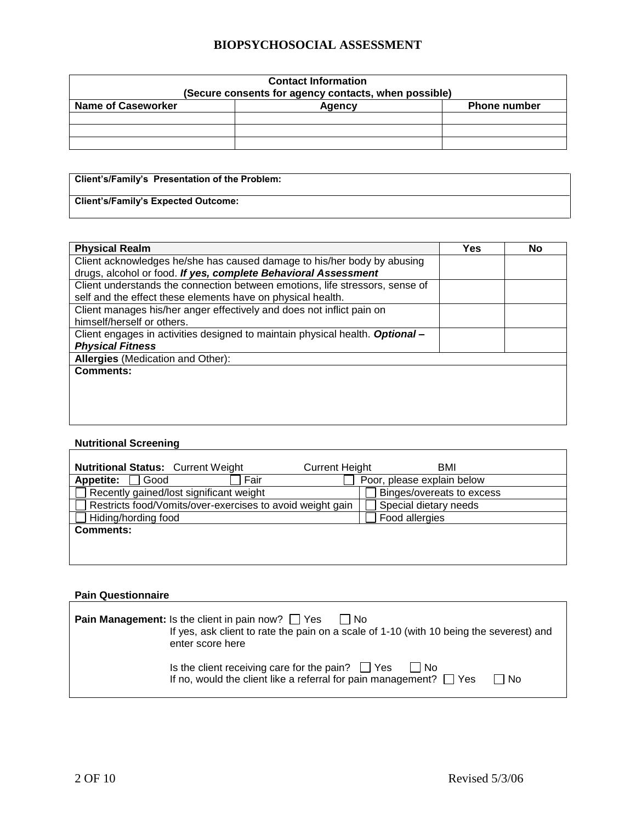| <b>Contact Information</b><br>(Secure consents for agency contacts, when possible) |  |  |  |  |  |
|------------------------------------------------------------------------------------|--|--|--|--|--|
| <b>Name of Caseworker</b><br><b>Phone number</b><br>Agency                         |  |  |  |  |  |
|                                                                                    |  |  |  |  |  |
|                                                                                    |  |  |  |  |  |
|                                                                                    |  |  |  |  |  |

| Client's/Family's Presentation of the Problem: |  |
|------------------------------------------------|--|
| Client's/Family's Expected Outcome:            |  |

| <b>Physical Realm</b>                                                         | Yes | No |
|-------------------------------------------------------------------------------|-----|----|
| Client acknowledges he/she has caused damage to his/her body by abusing       |     |    |
| drugs, alcohol or food. If yes, complete Behavioral Assessment                |     |    |
| Client understands the connection between emotions, life stressors, sense of  |     |    |
| self and the effect these elements have on physical health.                   |     |    |
| Client manages his/her anger effectively and does not inflict pain on         |     |    |
| himself/herself or others.                                                    |     |    |
| Client engages in activities designed to maintain physical health. Optional - |     |    |
| <b>Physical Fitness</b>                                                       |     |    |
| <b>Allergies</b> (Medication and Other):                                      |     |    |
| <b>Comments:</b>                                                              |     |    |
|                                                                               |     |    |
|                                                                               |     |    |
|                                                                               |     |    |
|                                                                               |     |    |

#### **Nutritional Screening**

 $\mathbf{r}$ 

 $\Gamma$ 

| <b>Nutritional Status: Current Weight</b>                 | <b>Current Height</b><br>BMI |
|-----------------------------------------------------------|------------------------------|
| <b>Appetite:</b><br>Good<br>Fair                          | Poor, please explain below   |
| Recently gained/lost significant weight                   | Binges/overeats to excess    |
| Restricts food/Vomits/over-exercises to avoid weight gain | Special dietary needs        |
| Hiding/hording food                                       | Food allergies               |
| <b>Comments:</b>                                          |                              |
|                                                           |                              |

#### **Pain Questionnaire**

| <b>Pain Management:</b> Is the client in pain now? $\Box$ Yes $\Box$ No<br>enter score here                                                | If yes, ask client to rate the pain on a scale of 1-10 (with 10 being the severest) and |
|--------------------------------------------------------------------------------------------------------------------------------------------|-----------------------------------------------------------------------------------------|
| Is the client receiving care for the pain? $\Box$ Yes $\Box$ No<br>If no, would the client like a referral for pain management? $\Box$ Yes | l I No                                                                                  |

 $\overline{\mathsf{I}}$ 

٦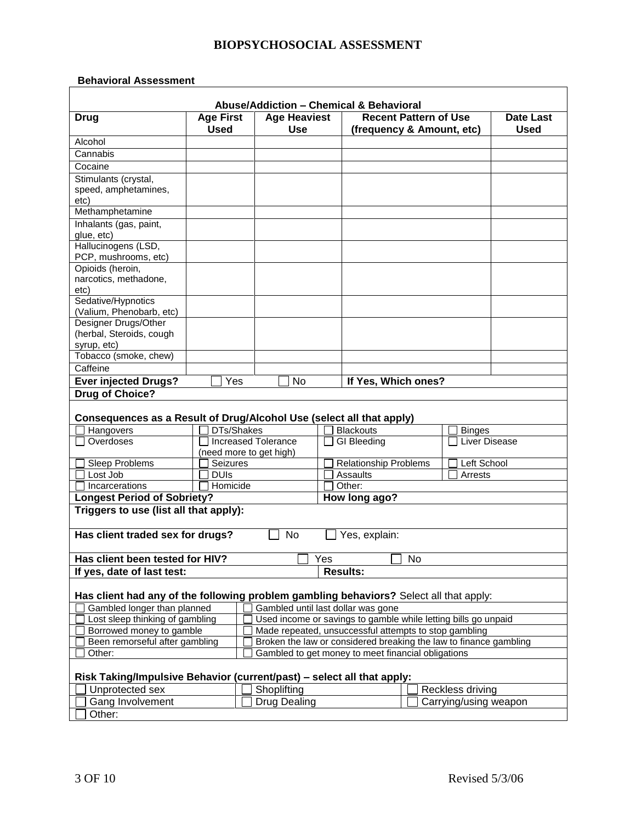#### **Behavioral Assessment**

|                                                                                        |                                            |                                   | Abuse/Addiction - Chemical & Behavioral                              |    |                       |                          |
|----------------------------------------------------------------------------------------|--------------------------------------------|-----------------------------------|----------------------------------------------------------------------|----|-----------------------|--------------------------|
| <b>Drug</b>                                                                            | <b>Age First</b><br><b>Used</b>            | <b>Age Heaviest</b><br><b>Use</b> | <b>Recent Pattern of Use</b><br>(frequency & Amount, etc)            |    |                       | Date Last<br><b>Used</b> |
| Alcohol                                                                                |                                            |                                   |                                                                      |    |                       |                          |
| Cannabis                                                                               |                                            |                                   |                                                                      |    |                       |                          |
| Cocaine                                                                                |                                            |                                   |                                                                      |    |                       |                          |
| Stimulants (crystal,                                                                   |                                            |                                   |                                                                      |    |                       |                          |
| speed, amphetamines,                                                                   |                                            |                                   |                                                                      |    |                       |                          |
| etc)                                                                                   |                                            |                                   |                                                                      |    |                       |                          |
| Methamphetamine                                                                        |                                            |                                   |                                                                      |    |                       |                          |
| Inhalants (gas, paint,                                                                 |                                            |                                   |                                                                      |    |                       |                          |
| glue, etc)                                                                             |                                            |                                   |                                                                      |    |                       |                          |
| Hallucinogens (LSD,                                                                    |                                            |                                   |                                                                      |    |                       |                          |
| PCP, mushrooms, etc)<br>Opioids (heroin,                                               |                                            |                                   |                                                                      |    |                       |                          |
| narcotics, methadone,                                                                  |                                            |                                   |                                                                      |    |                       |                          |
| etc)                                                                                   |                                            |                                   |                                                                      |    |                       |                          |
| Sedative/Hypnotics                                                                     |                                            |                                   |                                                                      |    |                       |                          |
| (Valium, Phenobarb, etc)                                                               |                                            |                                   |                                                                      |    |                       |                          |
| Designer Drugs/Other                                                                   |                                            |                                   |                                                                      |    |                       |                          |
| (herbal, Steroids, cough                                                               |                                            |                                   |                                                                      |    |                       |                          |
| syrup, etc)                                                                            |                                            |                                   |                                                                      |    |                       |                          |
| Tobacco (smoke, chew)                                                                  |                                            |                                   |                                                                      |    |                       |                          |
| Caffeine                                                                               |                                            |                                   |                                                                      |    |                       |                          |
| <b>Ever injected Drugs?</b>                                                            | Yes                                        | No                                | If Yes, Which ones?                                                  |    |                       |                          |
| <b>Drug of Choice?</b>                                                                 |                                            |                                   |                                                                      |    |                       |                          |
|                                                                                        |                                            |                                   |                                                                      |    |                       |                          |
|                                                                                        |                                            |                                   |                                                                      |    |                       |                          |
|                                                                                        |                                            |                                   | Consequences as a Result of Drug/Alcohol Use (select all that apply) |    |                       |                          |
| Hangovers                                                                              | <b>DTs/Shakes</b>                          |                                   | <b>Blackouts</b>                                                     |    | <b>Binges</b>         |                          |
| Overdoses                                                                              |                                            | <b>Increased Tolerance</b>        | <b>GI</b> Bleeding                                                   |    | <b>Liver Disease</b>  |                          |
|                                                                                        | (need more to get high)<br><b>Seizures</b> |                                   |                                                                      |    | Left School           |                          |
| Sleep Problems<br>Lost Job                                                             | <b>DUIS</b>                                |                                   | <b>Relationship Problems</b><br>Assaults                             |    | Arrests               |                          |
| Incarcerations                                                                         | Homicide                                   |                                   | Other:                                                               |    |                       |                          |
|                                                                                        |                                            |                                   |                                                                      |    |                       |                          |
| <b>Longest Period of Sobriety?</b><br>Triggers to use (list all that apply):           |                                            |                                   | How long ago?                                                        |    |                       |                          |
|                                                                                        |                                            |                                   |                                                                      |    |                       |                          |
| Has client traded sex for drugs?                                                       |                                            | No                                | Yes, explain:                                                        |    |                       |                          |
|                                                                                        |                                            |                                   |                                                                      |    |                       |                          |
| Has client been tested for HIV?                                                        |                                            |                                   | Yes                                                                  | No |                       |                          |
| If yes, date of last test:                                                             |                                            |                                   | <b>Results:</b>                                                      |    |                       |                          |
|                                                                                        |                                            |                                   |                                                                      |    |                       |                          |
| Has client had any of the following problem gambling behaviors? Select all that apply: |                                            |                                   |                                                                      |    |                       |                          |
| Gambled longer than planned                                                            |                                            |                                   | Gambled until last dollar was gone                                   |    |                       |                          |
| Lost sleep thinking of gambling                                                        |                                            |                                   | Used income or savings to gamble while letting bills go unpaid       |    |                       |                          |
| Borrowed money to gamble                                                               |                                            |                                   | Made repeated, unsuccessful attempts to stop gambling                |    |                       |                          |
| Been remorseful after gambling                                                         |                                            |                                   | Broken the law or considered breaking the law to finance gambling    |    |                       |                          |
| Other:                                                                                 |                                            |                                   | Gambled to get money to meet financial obligations                   |    |                       |                          |
| Risk Taking/Impulsive Behavior (current/past) - select all that apply:                 |                                            |                                   |                                                                      |    |                       |                          |
|                                                                                        |                                            | Shoplifting                       |                                                                      |    | Reckless driving      |                          |
| Unprotected sex<br>Gang Involvement                                                    |                                            | Drug Dealing                      |                                                                      |    | Carrying/using weapon |                          |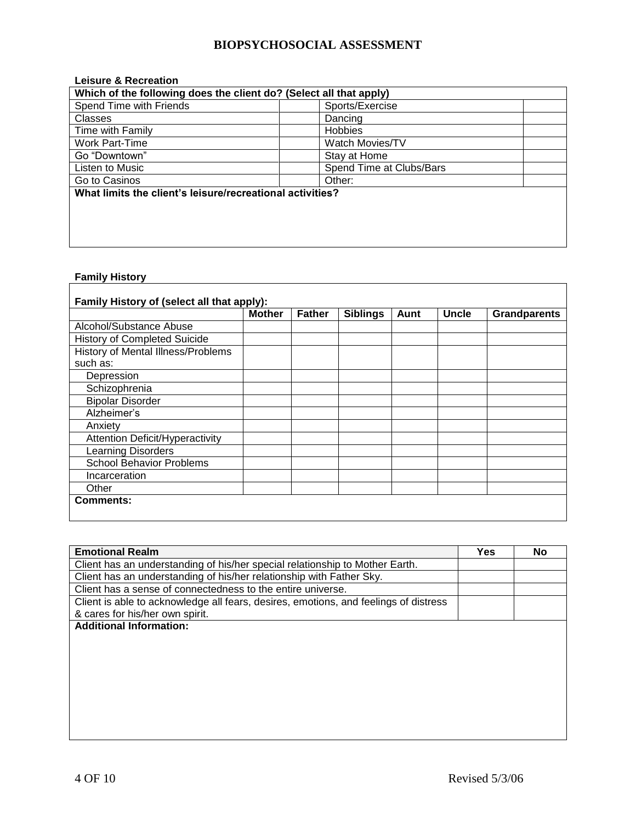| <b>Leisure &amp; Recreation</b>                                    |                          |  |  |
|--------------------------------------------------------------------|--------------------------|--|--|
| Which of the following does the client do? (Select all that apply) |                          |  |  |
| Spend Time with Friends                                            | Sports/Exercise          |  |  |
| Classes                                                            | Dancing                  |  |  |
| Time with Family                                                   | <b>Hobbies</b>           |  |  |
| Work Part-Time                                                     | <b>Watch Movies/TV</b>   |  |  |
| Go "Downtown"                                                      | Stay at Home             |  |  |
| Listen to Music                                                    | Spend Time at Clubs/Bars |  |  |
| Go to Casinos                                                      | Other:                   |  |  |
| What limits the client's leisure/recreational activities?          |                          |  |  |
|                                                                    |                          |  |  |
|                                                                    |                          |  |  |
|                                                                    |                          |  |  |
|                                                                    |                          |  |  |

<u> 1980 - Johann Barn, mars ar breithinn ar chuid ann an t-Alban ann an t-Alban ann an t-Alban ann an t-Alban a</u>

# **Family History**

|                                        | <b>Mother</b> | <b>Father</b> | <b>Siblings</b> | Aunt | <b>Uncle</b> | <b>Grandparents</b> |
|----------------------------------------|---------------|---------------|-----------------|------|--------------|---------------------|
| Alcohol/Substance Abuse                |               |               |                 |      |              |                     |
| <b>History of Completed Suicide</b>    |               |               |                 |      |              |                     |
| History of Mental Illness/Problems     |               |               |                 |      |              |                     |
| such as:                               |               |               |                 |      |              |                     |
| Depression                             |               |               |                 |      |              |                     |
| Schizophrenia                          |               |               |                 |      |              |                     |
| <b>Bipolar Disorder</b>                |               |               |                 |      |              |                     |
| Alzheimer's                            |               |               |                 |      |              |                     |
| Anxiety                                |               |               |                 |      |              |                     |
| <b>Attention Deficit/Hyperactivity</b> |               |               |                 |      |              |                     |
| Learning Disorders                     |               |               |                 |      |              |                     |
| <b>School Behavior Problems</b>        |               |               |                 |      |              |                     |
| Incarceration                          |               |               |                 |      |              |                     |
| Other                                  |               |               |                 |      |              |                     |

| <b>Emotional Realm</b>                                                               | Yes | <b>No</b> |
|--------------------------------------------------------------------------------------|-----|-----------|
| Client has an understanding of his/her special relationship to Mother Earth.         |     |           |
| Client has an understanding of his/her relationship with Father Sky.                 |     |           |
| Client has a sense of connectedness to the entire universe.                          |     |           |
| Client is able to acknowledge all fears, desires, emotions, and feelings of distress |     |           |
| & cares for his/her own spirit.                                                      |     |           |
| <b>Additional Information:</b>                                                       |     |           |
|                                                                                      |     |           |
|                                                                                      |     |           |
|                                                                                      |     |           |
|                                                                                      |     |           |
|                                                                                      |     |           |
|                                                                                      |     |           |
|                                                                                      |     |           |
|                                                                                      |     |           |
|                                                                                      |     |           |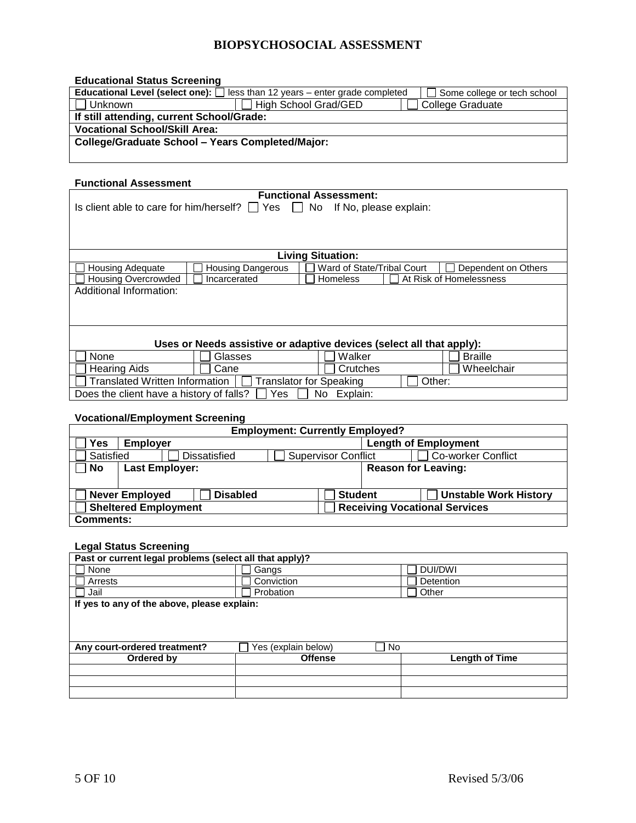#### **Educational Status Screening**

|                                                  | <b>Educational Level (select one):</b> $\Box$ less than 12 years – enter grade completed | Some college or tech school |
|--------------------------------------------------|------------------------------------------------------------------------------------------|-----------------------------|
| Unknown                                          | High School Grad/GED                                                                     | <b>College Graduate</b>     |
| If still attending, current School/Grade:        |                                                                                          |                             |
| <b>Vocational School/Skill Area:</b>             |                                                                                          |                             |
| College/Graduate School - Years Completed/Major: |                                                                                          |                             |
|                                                  |                                                                                          |                             |

#### **Functional Assessment**

|                                               | . |
|-----------------------------------------------|---|
| Is client able to care for him/herself? □ Yes |   |

**Functional Assessment:**  $\Box$  No If No, please explain:

| <b>Living Situation:</b> |                          |                            |  |                         |  |  |
|--------------------------|--------------------------|----------------------------|--|-------------------------|--|--|
| <b>Housing Adequate</b>  | <b>Housing Dangerous</b> | Ward of State/Tribal Court |  | Dependent on Others     |  |  |
| □ Housing Overcrowded    | Incarcerated             | <b>Homeless</b>            |  | At Risk of Homelessness |  |  |
| Additional Information:  |                          |                            |  |                         |  |  |
|                          |                          |                            |  |                         |  |  |
|                          |                          |                            |  |                         |  |  |
|                          |                          |                            |  |                         |  |  |

## **Uses or Needs assistive or adaptive devices (select all that apply):**

| None                                     | Glasses                 | Walker         | <b>Braille</b> |
|------------------------------------------|-------------------------|----------------|----------------|
| Hearing Aids                             | Cane                    | Crutches       | Wheelchair     |
| <b>Translated Written Information</b>    | Translator for Speaking |                | Other:         |
| Does the client have a history of falls? | Yes                     | No<br>Explain: |                |

#### **Vocational/Employment Screening**

| <b>Employment: Currently Employed?</b>                                                     |                                                |                            |                           |  |  |
|--------------------------------------------------------------------------------------------|------------------------------------------------|----------------------------|---------------------------|--|--|
| Yes                                                                                        | <b>Length of Employment</b><br><b>Employer</b> |                            |                           |  |  |
| Satisfied                                                                                  | <b>Dissatisfied</b>                            | <b>Supervisor Conflict</b> | <b>Co-worker Conflict</b> |  |  |
| <b>Reason for Leaving:</b><br>Last Employer:<br>No                                         |                                                |                            |                           |  |  |
|                                                                                            |                                                |                            |                           |  |  |
| <b>Never Employed</b><br><b>Disabled</b><br><b>Unstable Work History</b><br><b>Student</b> |                                                |                            |                           |  |  |
| <b>Sheltered Employment</b><br><b>Receiving Vocational Services</b>                        |                                                |                            |                           |  |  |
| <b>Comments:</b>                                                                           |                                                |                            |                           |  |  |

#### **Legal Status Screening**

| =0gu: 0tatu0 00:00:::::g                                |                     |           |                       |  |  |
|---------------------------------------------------------|---------------------|-----------|-----------------------|--|--|
| Past or current legal problems (select all that apply)? |                     |           |                       |  |  |
| None                                                    | Gangs               |           | DUI/DWI               |  |  |
| Arrests                                                 | Conviction          |           | Detention             |  |  |
| Jail                                                    | Probation           |           | Other                 |  |  |
| If yes to any of the above, please explain:             |                     |           |                       |  |  |
|                                                         |                     |           |                       |  |  |
|                                                         |                     |           |                       |  |  |
|                                                         |                     |           |                       |  |  |
| Any court-ordered treatment?                            | Yes (explain below) | <b>No</b> |                       |  |  |
| Ordered by                                              | <b>Offense</b>      |           | <b>Length of Time</b> |  |  |
|                                                         |                     |           |                       |  |  |
|                                                         |                     |           |                       |  |  |
|                                                         |                     |           |                       |  |  |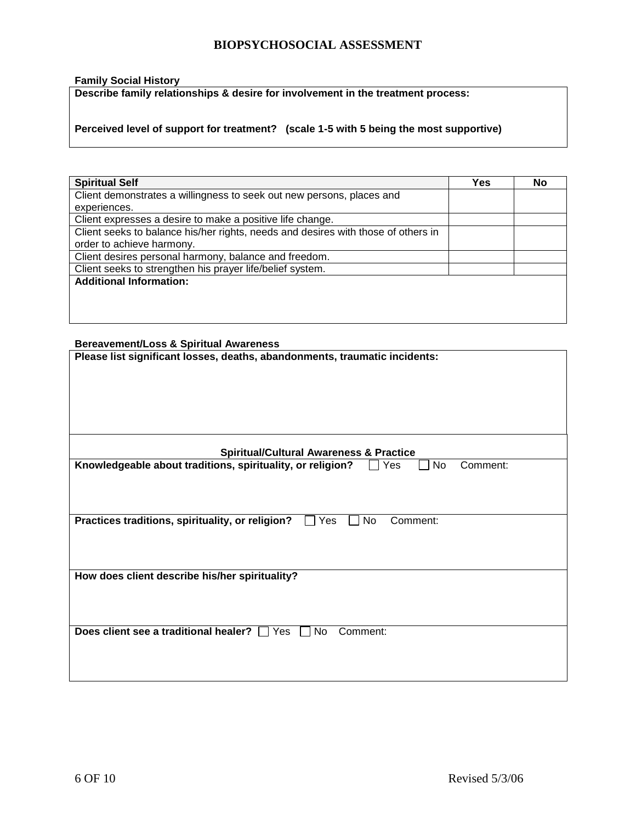#### **Family Social History**

**Describe family relationships & desire for involvement in the treatment process:**

**Perceived level of support for treatment? (scale 1-5 with 5 being the most supportive)** 

| <b>Spiritual Self</b>                                                             | Yes | <b>No</b> |
|-----------------------------------------------------------------------------------|-----|-----------|
| Client demonstrates a willingness to seek out new persons, places and             |     |           |
| experiences.                                                                      |     |           |
| Client expresses a desire to make a positive life change.                         |     |           |
| Client seeks to balance his/her rights, needs and desires with those of others in |     |           |
| order to achieve harmony.                                                         |     |           |
| Client desires personal harmony, balance and freedom.                             |     |           |
| Client seeks to strengthen his prayer life/belief system.                         |     |           |
| <b>Additional Information:</b>                                                    |     |           |
|                                                                                   |     |           |
|                                                                                   |     |           |
|                                                                                   |     |           |

#### **Bereavement/Loss & Spiritual Awareness**

| Please list significant losses, deaths, abandonments, traumatic incidents:          |  |  |  |
|-------------------------------------------------------------------------------------|--|--|--|
|                                                                                     |  |  |  |
|                                                                                     |  |  |  |
| <b>Spiritual/Cultural Awareness &amp; Practice</b>                                  |  |  |  |
| Knowledgeable about traditions, spirituality, or religion?<br>No<br>Comment:<br>Yes |  |  |  |
|                                                                                     |  |  |  |
| Practices traditions, spirituality, or religion?<br>Yes<br>No<br>Comment:           |  |  |  |
|                                                                                     |  |  |  |
| How does client describe his/her spirituality?                                      |  |  |  |
|                                                                                     |  |  |  |
| Does client see a traditional healer? $\Box$ Yes<br>No<br>Comment:                  |  |  |  |
|                                                                                     |  |  |  |
|                                                                                     |  |  |  |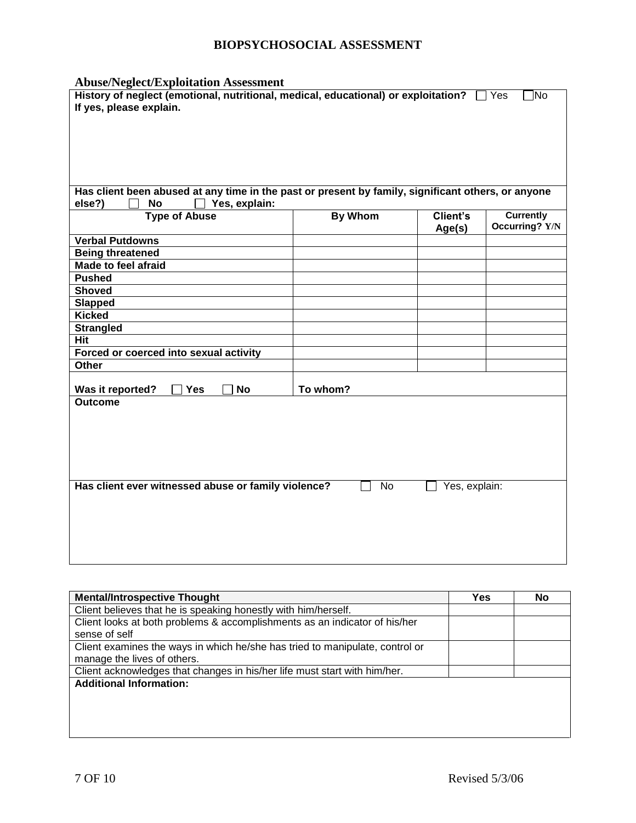**Abuse/Neglect/Exploitation Assessment**

| ADUSE/Neglect/Exploitation Assessment                                                              |                |                 |                   |
|----------------------------------------------------------------------------------------------------|----------------|-----------------|-------------------|
| History of neglect (emotional, nutritional, medical, educational) or exploitation?                 |                |                 | 1No<br>$\Box$ Yes |
| If yes, please explain.                                                                            |                |                 |                   |
|                                                                                                    |                |                 |                   |
|                                                                                                    |                |                 |                   |
|                                                                                                    |                |                 |                   |
|                                                                                                    |                |                 |                   |
|                                                                                                    |                |                 |                   |
|                                                                                                    |                |                 |                   |
| Has client been abused at any time in the past or present by family, significant others, or anyone |                |                 |                   |
| else?)<br>Yes, explain:<br><b>No</b>                                                               |                |                 |                   |
| <b>Type of Abuse</b>                                                                               | <b>By Whom</b> | <b>Client's</b> | <b>Currently</b>  |
|                                                                                                    |                | Age(s)          | Occurring? Y/N    |
| <b>Verbal Putdowns</b>                                                                             |                |                 |                   |
| <b>Being threatened</b>                                                                            |                |                 |                   |
| Made to feel afraid                                                                                |                |                 |                   |
| <b>Pushed</b>                                                                                      |                |                 |                   |
| <b>Shoved</b>                                                                                      |                |                 |                   |
| <b>Slapped</b>                                                                                     |                |                 |                   |
| <b>Kicked</b>                                                                                      |                |                 |                   |
| <b>Strangled</b>                                                                                   |                |                 |                   |
| Hit                                                                                                |                |                 |                   |
| Forced or coerced into sexual activity                                                             |                |                 |                   |
| Other                                                                                              |                |                 |                   |
|                                                                                                    |                |                 |                   |
| Was it reported?<br><b>Yes</b><br><b>No</b>                                                        | To whom?       |                 |                   |
| <b>Outcome</b>                                                                                     |                |                 |                   |
|                                                                                                    |                |                 |                   |
|                                                                                                    |                |                 |                   |
|                                                                                                    |                |                 |                   |
|                                                                                                    |                |                 |                   |
|                                                                                                    |                |                 |                   |
|                                                                                                    |                |                 |                   |
| Has client ever witnessed abuse or family violence?                                                | <b>No</b>      | Yes, explain:   |                   |
|                                                                                                    |                |                 |                   |
|                                                                                                    |                |                 |                   |
|                                                                                                    |                |                 |                   |
|                                                                                                    |                |                 |                   |
|                                                                                                    |                |                 |                   |
|                                                                                                    |                |                 |                   |
|                                                                                                    |                |                 |                   |

| <b>Mental/Introspective Thought</b>                                          | Yes | No |
|------------------------------------------------------------------------------|-----|----|
| Client believes that he is speaking honestly with him/herself.               |     |    |
| Client looks at both problems & accomplishments as an indicator of his/her   |     |    |
| sense of self                                                                |     |    |
| Client examines the ways in which he/she has tried to manipulate, control or |     |    |
| manage the lives of others.                                                  |     |    |
| Client acknowledges that changes in his/her life must start with him/her.    |     |    |
| <b>Additional Information:</b>                                               |     |    |
|                                                                              |     |    |
|                                                                              |     |    |
|                                                                              |     |    |
|                                                                              |     |    |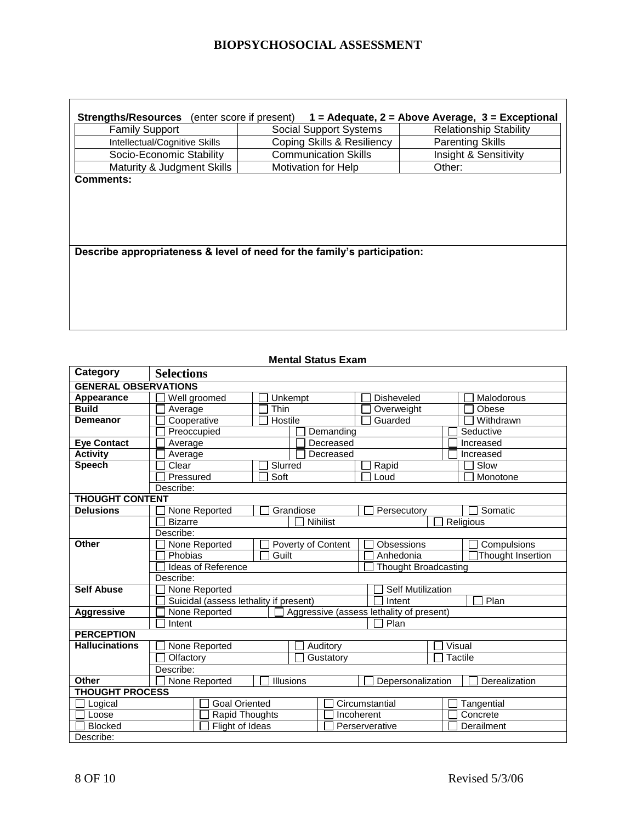| <b>Strengths/Resources</b>                                               | (enter score if present)      | $1 =$ Adequate, 2 = Above Average, 3 = Exceptional |
|--------------------------------------------------------------------------|-------------------------------|----------------------------------------------------|
| <b>Family Support</b>                                                    | <b>Social Support Systems</b> | <b>Relationship Stability</b>                      |
| Intellectual/Cognitive Skills                                            | Coping Skills & Resiliency    | <b>Parenting Skills</b>                            |
| Socio-Economic Stability                                                 | <b>Communication Skills</b>   | Insight & Sensitivity                              |
| Maturity & Judgment Skills                                               | <b>Motivation for Help</b>    | Other:                                             |
| <b>Comments:</b>                                                         |                               |                                                    |
|                                                                          |                               |                                                    |
|                                                                          |                               |                                                    |
|                                                                          |                               |                                                    |
|                                                                          |                               |                                                    |
|                                                                          |                               |                                                    |
| Describe appropriateness & level of need for the family's participation: |                               |                                                    |
|                                                                          |                               |                                                    |
|                                                                          |                               |                                                    |
|                                                                          |                               |                                                    |
|                                                                          |                               |                                                    |

### **Mental Status Exam**

| Category                    | <b>Selections</b>                                 |           |                    |                                          |                   |               |
|-----------------------------|---------------------------------------------------|-----------|--------------------|------------------------------------------|-------------------|---------------|
| <b>GENERAL OBSERVATIONS</b> |                                                   |           |                    |                                          |                   |               |
| Appearance                  | Well groomed                                      | Unkempt   |                    | <b>Disheveled</b>                        |                   | Malodorous    |
| <b>Build</b>                | Average                                           | Thin      |                    | Overweight                               |                   | Obese         |
| <b>Demeanor</b>             | Cooperative                                       | Hostile   |                    | Guarded                                  |                   | Withdrawn     |
|                             | Preoccupied                                       |           | Demanding          | Seductive                                |                   |               |
| <b>Eye Contact</b>          | Average                                           |           | Decreased          | Increased                                |                   |               |
| <b>Activity</b>             | Average                                           |           | Decreased          |                                          |                   | Increased     |
| <b>Speech</b>               | Clear                                             | Slurred   |                    | Rapid                                    |                   | Slow          |
|                             | Pressured                                         | Soft      |                    | Loud                                     |                   | Monotone      |
|                             | Describe:                                         |           |                    |                                          |                   |               |
| <b>THOUGHT CONTENT</b>      |                                                   |           |                    |                                          |                   |               |
| <b>Delusions</b>            | None Reported                                     |           | Grandiose          | Persecutory                              |                   | Somatic       |
|                             | <b>Bizarre</b>                                    |           | Nihilist           |                                          | Religious         |               |
|                             | Describe:                                         |           |                    |                                          |                   |               |
| Other                       | None Reported                                     |           | Poverty of Content | Obsessions                               |                   | Compulsions   |
|                             | Phobias<br>Guilt<br>Anhedonia                     |           |                    |                                          | Thought Insertion |               |
|                             | Ideas of Reference<br><b>Thought Broadcasting</b> |           |                    |                                          |                   |               |
|                             | Describe:                                         |           |                    |                                          |                   |               |
| <b>Self Abuse</b>           | None Reported                                     |           |                    | <b>Self Mutilization</b>                 |                   |               |
|                             | Suicidal (assess lethality if present)            |           |                    | Intent                                   |                   | Plan          |
| <b>Aggressive</b>           | None Reported                                     |           |                    | Aggressive (assess lethality of present) |                   |               |
|                             | Intent                                            |           |                    | Plan                                     |                   |               |
| <b>PERCEPTION</b>           |                                                   |           |                    |                                          |                   |               |
| <b>Hallucinations</b>       | None Reported                                     |           | Auditory           |                                          | Visual            |               |
|                             | Olfactory                                         |           | Gustatory          |                                          | <b>Tactile</b>    |               |
|                             | Describe:                                         |           |                    |                                          |                   |               |
| Other                       | None Reported                                     | Illusions |                    | Depersonalization                        |                   | Derealization |
| <b>THOUGHT PROCESS</b>      |                                                   |           |                    |                                          |                   |               |
| Logical                     | <b>Goal Oriented</b>                              |           |                    | Circumstantial                           |                   | Tangential    |
| Loose                       | Rapid Thoughts                                    |           |                    | Incoherent                               |                   | Concrete      |
| <b>Blocked</b>              | Flight of Ideas                                   |           |                    | Perserverative                           |                   | Derailment    |
| Describe:                   |                                                   |           |                    |                                          |                   |               |

**r**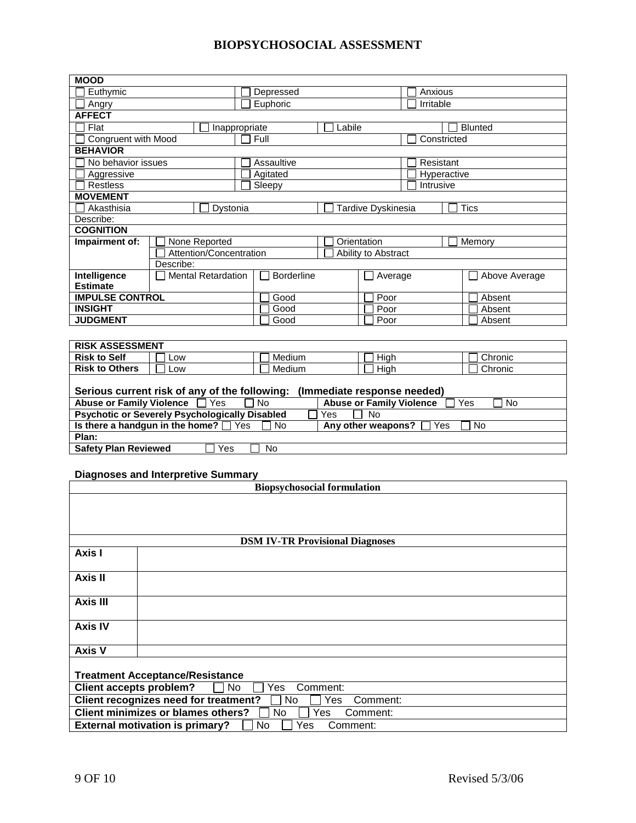| <b>MOOD</b>                        |                                                       |                   |                                 |                  |  |  |  |
|------------------------------------|-------------------------------------------------------|-------------------|---------------------------------|------------------|--|--|--|
| Euthymic                           |                                                       | Depressed         | Anxious                         |                  |  |  |  |
| Angry                              |                                                       | Euphoric          | Irritable                       |                  |  |  |  |
| <b>AFFECT</b>                      |                                                       |                   |                                 |                  |  |  |  |
| Flat                               | Inappropriate                                         | Labile            |                                 | <b>Blunted</b>   |  |  |  |
| <b>Congruent with Mood</b>         |                                                       | Full              |                                 | Constricted      |  |  |  |
| <b>BEHAVIOR</b>                    |                                                       |                   |                                 |                  |  |  |  |
| No behavior issues                 |                                                       | Assaultive        |                                 | Resistant        |  |  |  |
| Aggressive                         |                                                       | Agitated          |                                 | Hyperactive      |  |  |  |
|                                    | <b>Restless</b><br>Sleepy                             |                   |                                 | Intrusive        |  |  |  |
| <b>MOVEMENT</b>                    |                                                       |                   |                                 |                  |  |  |  |
| Akasthisia                         | Dystonia                                              |                   | Tardive Dyskinesia              | <b>Tics</b>      |  |  |  |
| Describe:                          |                                                       |                   |                                 |                  |  |  |  |
| <b>COGNITION</b>                   |                                                       |                   |                                 |                  |  |  |  |
| Impairment of:                     | None Reported                                         |                   | Orientation                     | Memory           |  |  |  |
|                                    | Attention/Concentration<br>Ability to Abstract        |                   |                                 |                  |  |  |  |
|                                    | Describe:                                             |                   |                                 |                  |  |  |  |
| Intelligence                       | <b>Mental Retardation</b>                             | <b>Borderline</b> | Average                         | Above Average    |  |  |  |
| <b>Estimate</b>                    |                                                       |                   |                                 |                  |  |  |  |
| <b>IMPULSE CONTROL</b>             |                                                       | Good              | Poor                            | Absent           |  |  |  |
| <b>INSIGHT</b>                     |                                                       | Good              | Poor                            | Absent           |  |  |  |
| <b>JUDGMENT</b>                    |                                                       | Good              | Poor                            | Absent           |  |  |  |
|                                    |                                                       |                   |                                 |                  |  |  |  |
| <b>RISK ASSESSMENT</b>             |                                                       |                   |                                 |                  |  |  |  |
| <b>Risk to Self</b>                | Low                                                   | Medium            | High                            | Chronic          |  |  |  |
| <b>Risk to Others</b>              | Low                                                   | Medium            | High                            | Chronic          |  |  |  |
|                                    |                                                       |                   |                                 |                  |  |  |  |
|                                    | Serious current risk of any of the following:         |                   | (Immediate response needed)     |                  |  |  |  |
| <b>Abuse or Family Violence</b>    | Yes                                                   | <b>No</b>         | <b>Abuse or Family Violence</b> | Yes<br><b>No</b> |  |  |  |
|                                    | <b>Psychotic or Severely Psychologically Disabled</b> | Yes               | <b>No</b>                       |                  |  |  |  |
|                                    | Is there a handgun in the home? If Yes                | <b>No</b>         | Any other weapons?<br>Yes       | <b>No</b>        |  |  |  |
| Plan:                              |                                                       |                   |                                 |                  |  |  |  |
| <b>Safety Plan Reviewed</b>        | Yes                                                   | No                |                                 |                  |  |  |  |
|                                    |                                                       |                   |                                 |                  |  |  |  |
|                                    | <b>Diagnoses and Interpretive Summary</b>             |                   |                                 |                  |  |  |  |
| <b>Biopsychosocial formulation</b> |                                                       |                   |                                 |                  |  |  |  |
|                                    |                                                       |                   |                                 |                  |  |  |  |
|                                    |                                                       |                   |                                 |                  |  |  |  |
|                                    |                                                       |                   |                                 |                  |  |  |  |
|                                    |                                                       |                   |                                 |                  |  |  |  |

| <b>DSM IV-TR Provisional Diagnoses</b>                           |                                                                 |  |  |  |  |
|------------------------------------------------------------------|-----------------------------------------------------------------|--|--|--|--|
| Axis I                                                           |                                                                 |  |  |  |  |
| Axis II                                                          |                                                                 |  |  |  |  |
| <b>Axis III</b>                                                  |                                                                 |  |  |  |  |
| <b>Axis IV</b>                                                   |                                                                 |  |  |  |  |
| <b>Axis V</b>                                                    |                                                                 |  |  |  |  |
|                                                                  | <b>Treatment Acceptance/Resistance</b>                          |  |  |  |  |
| <b>Client accepts problem?</b><br>Yes<br>Comment:<br>No.         |                                                                 |  |  |  |  |
|                                                                  | Client recognizes need for treatment?<br>Yes<br>Comment:<br>No. |  |  |  |  |
| Client minimizes or blames others?<br>No.<br>Yes<br>Comment:     |                                                                 |  |  |  |  |
| <b>External motivation is primary?</b><br>Comment:<br>No.<br>Yes |                                                                 |  |  |  |  |